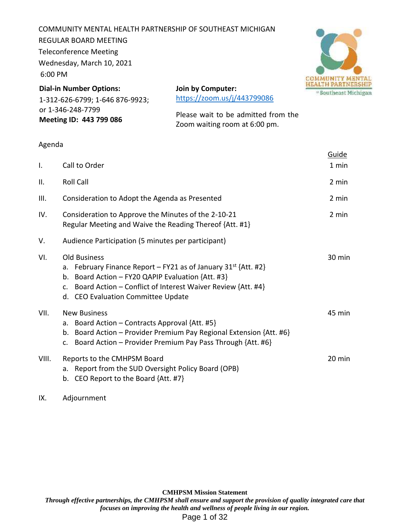COMMUNITY MENTAL HEALTH PARTNERSHIP OF SOUTHEAST MICHIGAN REGULAR BOARD MEETING Teleconference Meeting Wednesday, March 10, 2021 6:00 PM



**Dial-in Number Options:** 1-312-626-6799; 1-646 876-9923; or 1-346-248-7799 **Meeting ID: 443 799 086**

**Join by Computer:** https://zoom.us/j/443799086

Please wait to be admitted from the Zoom waiting room at 6:00 pm.

## Agenda

|                |                                                                                                                                                                                                                                                                  | Guide  |
|----------------|------------------------------------------------------------------------------------------------------------------------------------------------------------------------------------------------------------------------------------------------------------------|--------|
| $\mathbf{I}$ . | Call to Order                                                                                                                                                                                                                                                    | 1 min  |
| Ш.             | <b>Roll Call</b>                                                                                                                                                                                                                                                 | 2 min  |
| III.           | Consideration to Adopt the Agenda as Presented                                                                                                                                                                                                                   | 2 min  |
| IV.            | Consideration to Approve the Minutes of the 2-10-21<br>Regular Meeting and Waive the Reading Thereof {Att. #1}                                                                                                                                                   | 2 min  |
| V.             | Audience Participation (5 minutes per participant)                                                                                                                                                                                                               |        |
| VI.            | <b>Old Business</b><br>February Finance Report – FY21 as of January $31^{st}$ {Att. #2}<br>a.<br>Board Action - FY20 QAPIP Evaluation {Att. #3}<br>b.<br>Board Action – Conflict of Interest Waiver Review {Att. #4}<br>c.<br>d. CEO Evaluation Committee Update | 30 min |
| VII.           | <b>New Business</b><br>Board Action – Contracts Approval {Att. #5}<br>a.<br>Board Action - Provider Premium Pay Regional Extension {Att. #6}<br>b.<br>Board Action - Provider Premium Pay Pass Through {Att. #6}<br>$\mathsf{C}$ .                               | 45 min |
| VIII.          | Reports to the CMHPSM Board<br>a. Report from the SUD Oversight Policy Board (OPB)<br>b. CEO Report to the Board {Att. #7}                                                                                                                                       | 20 min |

# IX. Adjournment

**CMHPSM Mission Statement** *Through effective partnerships, the CMHPSM shall ensure and support the provision of quality integrated care that focuses on improving the health and wellness of people living in our region.* Page 1 of 32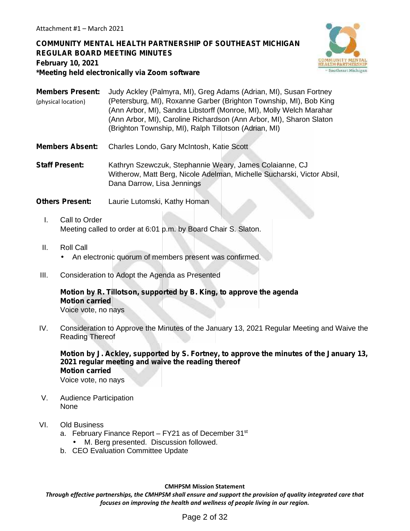# **COMMUNITY MENTAL HEALTH PARTNERSHIP OF SOUTHEAST MICHIGAN REGULAR BOARD MEETING MINUTES February 10, 2021 \*Meeting held electronically via Zoom software**



**Members Present:** Judy Ackley (Palmyra, MI), Greg Adams (Adrian, MI), Susan Fortney (Petersburg, MI), Roxanne Garber (Brighton Township, MI), Bob King (Ann Arbor, MI), Sandra Libstorff (Monroe, MI), Molly Welch Marahar (Ann Arbor, MI), Caroline Richardson (Ann Arbor, MI), Sharon Slaton (Brighton Township, MI), Ralph Tillotson (Adrian, MI) (physical location)

**Members Absent:** Charles Londo, Gary McIntosh, Katie Scott

**Staff Present:** Kathryn Szewczuk, Stephannie Weary, James Colaianne, CJ Witherow, Matt Berg, Nicole Adelman, Michelle Sucharski, Victor Absil, Dana Darrow, Lisa Jennings

**Others Present:** Laurie Lutomski, Kathy Homan

- I. Call to Order Meeting called to order at 6:01 p.m. by Board Chair S. Slaton.
- II. Roll Call An electronic quorum of members present was confirmed.
- III. Consideration to Adopt the Agenda as Presented

# **Motion by R. Tillotson, supported by B. King, to approve the agenda Motion carried**

Voice vote, no nays

IV. Consideration to Approve the Minutes of the January 13, 2021 Regular Meeting and Waive the Reading Thereof

**Motion by J. Ackley, supported by S. Fortney, to approve the minutes of the January 13, 2021 regular meeting and waive the reading thereof Motion carried** Voice vote, no nays

- V. Audience Participation None
- VI. Old Business
	- a. February Finance Report FY21 as of December 31<sup>st</sup>
		- M. Berg presented. Discussion followed.
	- b. CEO Evaluation Committee Update

#### **CMHPSM Mission Statement**

*Through effective partnerships, the CMHPSM shall ensure and support the provision of quality integrated care that focuses on improving the health and wellness of people living in our region.*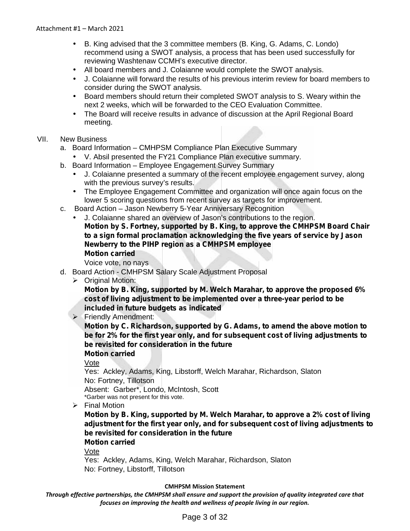- B. King advised that the 3 committee members (B. King, G. Adams, C. Londo) recommend using a SWOT analysis, a process that has been used successfully for reviewing Washtenaw CCMH's executive director.
- All board members and J. Colaianne would complete the SWOT analysis.
- J. Colaianne will forward the results of his previous interim review for board members to consider during the SWOT analysis.
- Board members should return their completed SWOT analysis to S. Weary within the next 2 weeks, which will be forwarded to the CEO Evaluation Committee.
- The Board will receive results in advance of discussion at the April Regional Board meeting.

# VII. New Business

- a. Board Information CMHPSM Compliance Plan Executive Summary
	- V. Absil presented the FY21 Compliance Plan executive summary.
- b. Board Information Employee Engagement Survey Summary
	- J. Colaianne presented a summary of the recent employee engagement survey, along with the previous survey's results.
	- The Employee Engagement Committee and organization will once again focus on the lower 5 scoring questions from recent survey as targets for improvement.
- c. Board Action Jason Newberry 5-Year Anniversary Recognition
	- J. Colaianne shared an overview of Jason's contributions to the region. **Motion by S. Fortney, supported by B. King, to approve the CMHPSM Board Chair to a sign formal proclamation acknowledging the five years of service by Jason Newberry to the PIHP region as a CMHPSM employee Motion carried**

Voice vote, no nays

- d. Board Action CMHPSM Salary Scale Adjustment Proposal
	- Original Motion:

**Motion by B. King, supported by M. Welch Marahar, to approve the proposed 6% cost of living adjustment to be implemented over a three-year period to be included in future budgets as indicated**

Friendly Amendment:

**Motion by C. Richardson, supported by G. Adams, to amend the above motion to be for 2% for the first year only, and forsubsequent cost of living adjustments to be revisited for consideration in the future**

**Motion carried**

Vote

Yes: Ackley, Adams, King, Libstorff, Welch Marahar, Richardson, Slaton No: Fortney, Tillotson Absent: Garber\*, Londo, McIntosh, Scott

\*Garber was not present for this vote.

 $\triangleright$  Final Motion

**Motion by B. King, supported by M. Welch Marahar, to approve a 2% cost of living adjustment for the first year only, and forsubsequent cost of living adjustments to be revisited for consideration in the future**

**Motion carried**

Vote

Yes: Ackley, Adams, King, Welch Marahar, Richardson, Slaton No: Fortney, Libstorff, Tillotson

### **CMHPSM Mission Statement**

*Through effective partnerships, the CMHPSM shall ensure and support the provision of quality integrated care that focuses on improving the health and wellness of people living in our region.*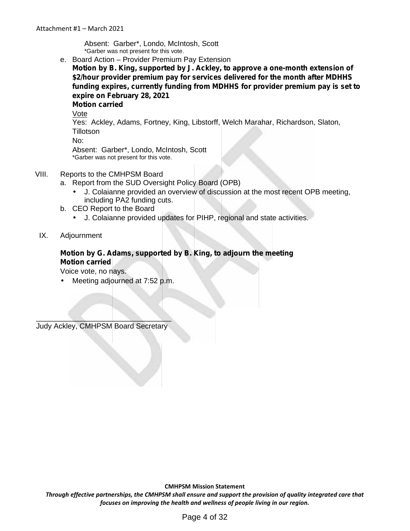Absent: Garber\*, Londo, McIntosh, Scott \*Garber was not present for this vote.

e. Board Action – Provider Premium Pay Extension **Motion by B. King, supported by J. Ackley, to approve a one-month extension of \$2/hour provider premium pay for services delivered for the month after MDHHS funding expires, currently funding from MDHHS for provider premium pay is set to expire on February 28, 2021 Motion carried**

Vote

Yes: Ackley, Adams, Fortney, King, Libstorff, Welch Marahar, Richardson, Slaton, Tillotson

No:

Absent: Garber\*, Londo, McIntosh, Scott \*Garber was not present for this vote.

## VIII. Reports to the CMHPSM Board

- a. Report from the SUD Oversight Policy Board (OPB)
	- J. Colaianne provided an overview of discussion at the most recent OPB meeting, including PA2 funding cuts.
- b. CEO Report to the Board
	- J. Colaianne provided updates for PIHP, regional and state activities.

IX. Adjournment

# **Motion by G. Adams, supported by B. King, to adjourn the meeting**

**Motion carried**

Voice vote, no nays.

Meeting adjourned at 7:52 p.m.

 $\mathcal{L}=\mathcal{L}=\{1,\ldots,n\}$  , where  $\mathcal{L}=\{1,\ldots,n\}$ Judy Ackley, CMHPSM Board Secretary

**CMHPSM Mission Statement**

*Through effective partnerships, the CMHPSM shall ensure and support the provision of quality integrated care that focuses on improving the health and wellness of people living in our region.*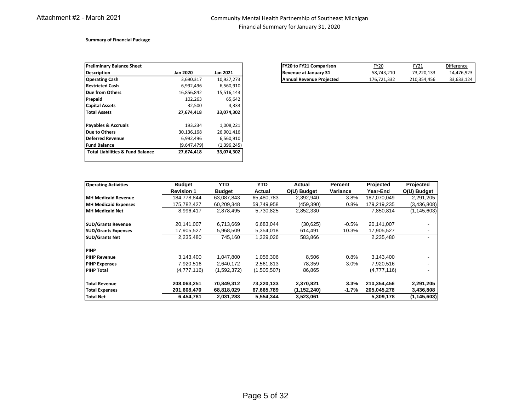#### Community Mental Health Partnership of Southeast Michigan Financial Summary for January 31, 2020

#### **Summary of Financial Package**

| <b>Preliminary Balance Sheet</b>            |                 |                 |
|---------------------------------------------|-----------------|-----------------|
| <b>Description</b>                          | <b>Jan 2020</b> | <b>Jan 2021</b> |
| <b>Operating Cash</b>                       | 3,690,317       | 10,927,273      |
| <b>Restricted Cash</b>                      | 6,992,496       | 6,560,910       |
| <b>Due from Others</b>                      | 16,856,842      | 15,516,143      |
| Prepaid                                     | 102,263         | 65,642          |
| <b>Capital Assets</b>                       | 32,500          | 4,333           |
| <b>Total Assets</b>                         | 27,674,418      | 33,074,302      |
| <b>Payables &amp; Accruals</b>              | 193,234         | 1,008,221       |
| Due to Others                               | 30.136.168      | 26.901.416      |
| <b>Deferred Revenue</b>                     | 6,992,496       | 6,560,910       |
| <b>Fund Balance</b>                         | (9,647,479)     | (1,396,245)     |
| <b>Total Liabilities &amp; Fund Balance</b> | 27.674.418      | 33,074,302      |
|                                             |                 |                 |

| <b>Preliminary Balance Sheet</b> |           |                 | <b>IFY20 to FY21 Comparison</b> | <u>FY20</u> | ™21         |
|----------------------------------|-----------|-----------------|---------------------------------|-------------|-------------|
| <b>Description</b>               | Jan 2020  | <b>Jan 2021</b> | Revenue at January 31           | 58,743,210  | 73.220.133  |
| <b>Operating Cash</b>            | 3,690,317 | 10,927,273      | <b>Annual Revenue Proiected</b> | 176.721.332 | 210.354.456 |

| <b>Operating Activities</b> | <b>Budget</b>     | <b>YTD</b>    | <b>YTD</b>  | Actual        | Percent  | Projected   | Projected                |
|-----------------------------|-------------------|---------------|-------------|---------------|----------|-------------|--------------------------|
|                             | <b>Revision 1</b> | <b>Budget</b> | Actual      | O(U) Budget   | Variance | Year-End    | O(U) Budget              |
| <b>IMH Medicaid Revenue</b> | 184,778,844       | 63,087,843    | 65,480,783  | 2,392,940     | 3.8%     | 187,070,049 | 2,291,205                |
| <b>MH Medicaid Expenses</b> | 175,782,427       | 60,209,348    | 59,749,958  | (459, 390)    | 0.8%     | 179,219,235 | (3,436,808)              |
| <b>MH Medicaid Net</b>      | 8,996,417         | 2,878,495     | 5,730,825   | 2,852,330     |          | 7,850,814   | (1, 145, 603)            |
| <b>SUD/Grants Revenue</b>   | 20,141,007        | 6,713,669     | 6,683,044   | (30, 625)     | $-0.5%$  | 20,141,007  |                          |
| <b>SUD/Grants Expenses</b>  | 17,905,527        | 5,968,509     | 5,354,018   | 614,491       | 10.3%    | 17,905,527  | ٠                        |
| <b>SUD/Grants Net</b>       | 2,235,480         | 745,160       | 1,329,026   | 583,866       |          | 2,235,480   |                          |
| <b>PIHP</b>                 |                   |               |             |               |          |             |                          |
| <b>PIHP Revenue</b>         | 3,143,400         | 1,047,800     | 1.056.306   | 8,506         | 0.8%     | 3.143.400   |                          |
| <b>PIHP Expenses</b>        | 7,920,516         | 2,640,172     | 2,561,813   | 78,359        | 3.0%     | 7,920,516   | $\overline{\phantom{a}}$ |
| <b>PIHP Total</b>           | (4,777,116)       | (1,592,372)   | (1,505,507) | 86,865        |          | (4,777,116) | $\overline{\phantom{a}}$ |
| <b>Total Revenue</b>        | 208,063,251       | 70,849,312    | 73,220,133  | 2,370,821     | 3.3%     | 210,354,456 | 2,291,205                |
| <b>Total Expenses</b>       | 201,608,470       | 68,818,029    | 67,665,789  | (1, 152, 240) | $-1.7%$  | 205,045,278 | 3,436,808                |
| <b>Total Net</b>            | 6,454,781         | 2,031,283     | 5,554,344   | 3,523,061     |          | 5,309,178   | (1, 145, 603)            |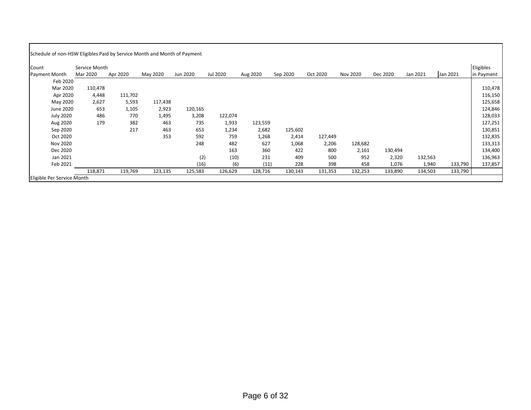| Count                | Service Month |          |          |          |          |          |          |          |          |          |          |          | Eligibles  |
|----------------------|---------------|----------|----------|----------|----------|----------|----------|----------|----------|----------|----------|----------|------------|
| <b>Payment Month</b> | Mar 2020      | Apr 2020 | May 2020 | Jun 2020 | Jul 2020 | Aug 2020 | Sep 2020 | Oct 2020 | Nov 2020 | Dec 2020 | Jan 2021 | Jan 2021 | in Payment |
| Feb 2020             |               |          |          |          |          |          |          |          |          |          |          |          |            |
| Mar 2020             | 110,478       |          |          |          |          |          |          |          |          |          |          |          | 110,478    |
| Apr 2020             | 4,448         | 111,702  |          |          |          |          |          |          |          |          |          |          | 116,150    |
| May 2020             | 2,627         | 5,593    | 117,438  |          |          |          |          |          |          |          |          |          | 125,658    |
| June 2020            | 653           | 1,105    | 2,923    | 120,165  |          |          |          |          |          |          |          |          | 124,846    |
| <b>July 2020</b>     | 486           | 770      | 1,495    | 3,208    | 122,074  |          |          |          |          |          |          |          | 128,033    |
| Aug 2020             | 179           | 382      | 463      | 735      | 1,933    | 123,559  |          |          |          |          |          |          | 127,251    |
| Sep 2020             |               | 217      | 463      | 653      | 1,234    | 2,682    | 125,602  |          |          |          |          |          | 130,851    |
| Oct 2020             |               |          | 353      | 592      | 759      | 1,268    | 2,414    | 127,449  |          |          |          |          | 132,835    |
| Nov 2020             |               |          |          | 248      | 482      | 627      | 1,068    | 2,206    | 128,682  |          |          |          | 133,313    |
| Dec 2020             |               |          |          |          | 163      | 360      | 422      | 800      | 2,161    | 130,494  |          |          | 134,400    |
| Jan 2021             |               |          |          | (2)      | (10)     | 231      | 409      | 500      | 952      | 2,320    | 132,563  |          | 136,963    |
| Feb 2021             |               |          |          | (16)     | (6)      | (11)     | 228      | 398      | 458      | 1,076    | 1,940    | 133,790  | 137,857    |
|                      | 118,871       | 119,769  | 123,135  | 125,583  | 126,629  | 128,716  | 130,143  | 131,353  | 132,253  | 133,890  | 134,503  | 133,790  |            |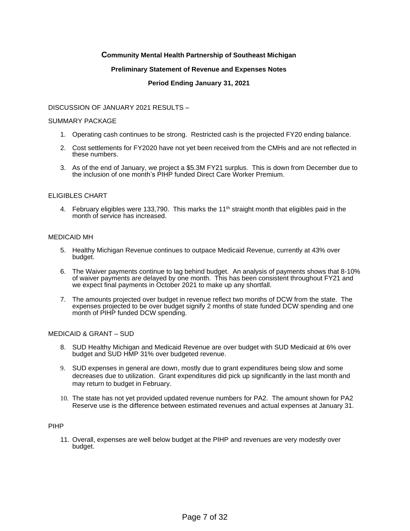### **Community Mental Health Partnership of Southeast Michigan**

#### **Preliminary Statement of Revenue and Expenses Notes**

#### **Period Ending January 31, 2021**

#### DISCUSSION OF JANUARY 2021 RESULTS –

#### SUMMARY PACKAGE

- 1. Operating cash continues to be strong. Restricted cash is the projected FY20 ending balance.
- 2. Cost settlements for FY2020 have not yet been received from the CMHs and are not reflected in these numbers.
- 3. As of the end of January, we project a \$5.3M FY21 surplus. This is down from December due to the inclusion of one month's PIHP funded Direct Care Worker Premium.

#### ELIGIBLES CHART

4. February eligibles were 133,790. This marks the  $11<sup>th</sup>$  straight month that eligibles paid in the month of service has increased.

#### MEDICAID MH

- 5. Healthy Michigan Revenue continues to outpace Medicaid Revenue, currently at 43% over budget.
- 6. The Waiver payments continue to lag behind budget. An analysis of payments shows that 8-10% of waiver payments are delayed by one month. This has been consistent throughout FY21 and we expect final payments in October 2021 to make up any shortfall.
- 7. The amounts projected over budget in revenue reflect two months of DCW from the state. The expenses projected to be over budget signify 2 months of state funded DCW spending and one month of PIHP funded DCW spending.

#### MEDICAID & GRANT – SUD

- 8. SUD Healthy Michigan and Medicaid Revenue are over budget with SUD Medicaid at 6% over budget and SUD HMP 31% over budgeted revenue.
- 9. SUD expenses in general are down, mostly due to grant expenditures being slow and some decreases due to utilization. Grant expenditures did pick up significantly in the last month and may return to budget in February.
- 10. The state has not yet provided updated revenue numbers for PA2. The amount shown for PA2 Reserve use is the difference between estimated revenues and actual expenses at January 31.

#### PIHP

11. Overall, expenses are well below budget at the PIHP and revenues are very modestly over budget.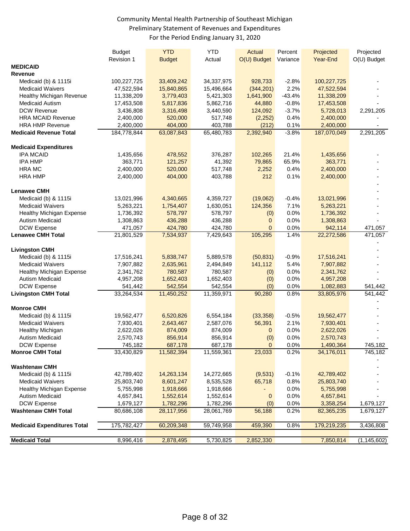# Community Mental Health Partnership of Southeast Michigan Preliminary Statement of Revenues and Expenditures For the Period Ending January 31, 2020

|                                    | <b>Budget</b>           | <b>YTD</b>           | <b>YTD</b>           | <b>Actual</b>    | Percent  | Projected               | Projected     |
|------------------------------------|-------------------------|----------------------|----------------------|------------------|----------|-------------------------|---------------|
| <b>MEDICAID</b>                    | Revision 1              | <b>Budget</b>        | Actual               | O(U) Budget      | Variance | Year-End                | O(U) Budget   |
| Revenue                            |                         |                      |                      |                  |          |                         |               |
| Medicaid (b) & 1115i               | 100,227,725             | 33,409,242           | 34, 337, 975         | 928,733          | $-2.8%$  | 100,227,725             |               |
| <b>Medicaid Waivers</b>            | 47,522,594              | 15,840,865           | 15,496,664           | (344, 201)       | 2.2%     | 47,522,594              |               |
| Healthy Michigan Revenue           | 11,338,209              | 3,779,403            | 5,421,303            | 1,641,900        | $-43.4%$ | 11,338,209              |               |
| Medicaid Autism                    |                         | 5,817,836            |                      | 44,880           | $-0.8%$  |                         |               |
| DCW Revenue                        | 17,453,508<br>3,436,808 |                      | 5,862,716            | 124,092          | $-3.7%$  | 17,453,508<br>5,728,013 | 2,291,205     |
| <b>HRA MCAID Revenue</b>           | 2,400,000               | 3,316,498<br>520,000 | 3,440,590<br>517,748 |                  | 0.4%     | 2,400,000               |               |
| <b>HRA HMP Revenue</b>             | 2,400,000               | 404,000              | 403,788              | (2,252)<br>(212) | 0.1%     | 2,400,000               |               |
| <b>Medicaid Revenue Total</b>      | 184,778,844             | 63,087,843           | 65,480,783           | 2,392,940        | $-3.8%$  | 187,070,049             | 2,291,205     |
|                                    |                         |                      |                      |                  |          |                         |               |
| <b>Medicaid Expenditures</b>       |                         |                      |                      |                  |          |                         |               |
| <b>IPA MCAID</b>                   | 1,435,656               | 478,552              | 376,287              | 102,265          | 21.4%    | 1,435,656               |               |
| <b>IPA HMP</b>                     | 363,771                 | 121,257              | 41,392               | 79,865           | 65.9%    | 363,771                 |               |
| <b>HRA MC</b>                      | 2,400,000               | 520,000              | 517,748              | 2,252            | 0.4%     | 2,400,000               |               |
| <b>HRA HMP</b>                     | 2,400,000               | 404,000              | 403,788              | 212              | 0.1%     | 2,400,000               |               |
|                                    |                         |                      |                      |                  |          |                         |               |
| <b>Lenawee CMH</b>                 |                         |                      |                      |                  |          |                         |               |
| Medicaid (b) & 1115i               | 13,021,996              | 4,340,665            | 4,359,727            | (19,062)         | $-0.4%$  | 13,021,996              |               |
| <b>Medicaid Waivers</b>            | 5,263,221               | 1,754,407            | 1,630,051            | 124,356          | 7.1%     | 5,263,221               |               |
| <b>Healthy Michigan Expense</b>    | 1,736,392               | 578,797              | 578,797              | (0)              | 0.0%     | 1,736,392               |               |
| Autism Medicaid                    | 1,308,863               | 436,288              | 436,288              | $\mathbf{0}$     | 0.0%     | 1,308,863               |               |
| DCW Expense                        | 471,057                 | 424,780              | 424,780              | $\mathbf{0}$     | 0.0%     | 942,114                 | 471,057       |
| <b>Lenawee CMH Total</b>           | 21,801,529              | 7,534,937            | 7,429,643            | 105,295          | 1.4%     | 22,272,586              | 471,057       |
|                                    |                         |                      |                      |                  |          |                         |               |
| <b>Livingston CMH</b>              |                         |                      |                      |                  |          |                         |               |
| Medicaid (b) & 1115i               | 17,516,241              | 5,838,747            | 5,889,578            | (50, 831)        | $-0.9%$  | 17,516,241              |               |
| <b>Medicaid Waivers</b>            | 7,907,882               | 2,635,961            | 2,494,849            | 141,112          | 5.4%     | 7,907,882               |               |
| Healthy Michigan Expense           | 2,341,762               | 780,587              | 780,587              | (0)              | 0.0%     | 2,341,762               |               |
| <b>Autism Medicaid</b>             | 4,957,208               | 1,652,403            | 1,652,403            | (0)              | 0.0%     | 4,957,208               |               |
| <b>DCW Expense</b>                 | 541,442                 | 542,554              | 542,554              | (0)              | 0.0%     | 1,082,883               | 541,442       |
| <b>Livingston CMH Total</b>        | 33,264,534              | 11,450,252           | 11,359,971           | 90,280           | 0.8%     | 33,805,976              | 541,442       |
| <b>Monroe CMH</b>                  |                         |                      |                      |                  |          |                         |               |
| Medicaid (b) & 1115i               | 19,562,477              | 6,520,826            | 6,554,184            | (33, 358)        | $-0.5%$  | 19,562,477              |               |
| <b>Medicaid Waivers</b>            | 7,930,401               | 2,643,467            | 2,587,076            | 56,391           | 2.1%     | 7,930,401               |               |
| <b>Healthy Michigan</b>            | 2,622,026               | 874,009              | 874,009              | $\mathbf{0}$     | 0.0%     | 2,622,026               |               |
| Autism Medicaid                    | 2,570,743               | 856,914              | 856,914              | (0)              | 0.0%     | 2,570,743               |               |
| <b>DCW Expense</b>                 | 745,182                 | 687,178              | 687,178              | $\mathbf{0}$     | 0.0%     | 1,490,364               | 745,182       |
| <b>Monroe CMH Total</b>            | 33,430,829              | 11,582,394           | 11,559,361           | 23,033           | 0.2%     | 34,176,011              | 745,182       |
|                                    |                         |                      |                      |                  |          |                         |               |
| <b>Washtenaw CMH</b>               |                         |                      |                      |                  |          |                         |               |
| Medicaid (b) & 1115i               | 42,789,402              | 14,263,134           | 14,272,665           | (9,531)          | $-0.1%$  | 42,789,402              |               |
| <b>Medicaid Waivers</b>            | 25,803,740              | 8,601,247            | 8,535,528            | 65,718           | 0.8%     | 25,803,740              |               |
| Healthy Michigan Expense           | 5,755,998               | 1,918,666            | 1,918,666            |                  | 0.0%     | 5,755,998               |               |
| <b>Autism Medicaid</b>             | 4,657,841               | 1,552,614            | 1,552,614            | $\mathbf 0$      | 0.0%     | 4,657,841               |               |
| DCW Expense                        | 1,679,127               | 1,782,296            | 1,782,296            | (0)              | 0.0%     | 3,358,254               | 1,679,127     |
| <b>Washtenaw CMH Total</b>         | 80,686,108              | 28,117,956           | 28,061,769           | 56,188           | 0.2%     | 82,365,235              | 1,679,127     |
|                                    |                         |                      |                      |                  |          |                         |               |
| <b>Medicaid Expenditures Total</b> | 175,782,427             | 60,209,348           | 59,749,958           | 459,390          | 0.8%     | 179,219,235             | 3,436,808     |
| <b>Medicaid Total</b>              | 8,996,416               | 2,878,495            | 5,730,825            | 2,852,330        |          | 7,850,814               | (1, 145, 602) |
|                                    |                         |                      |                      |                  |          |                         |               |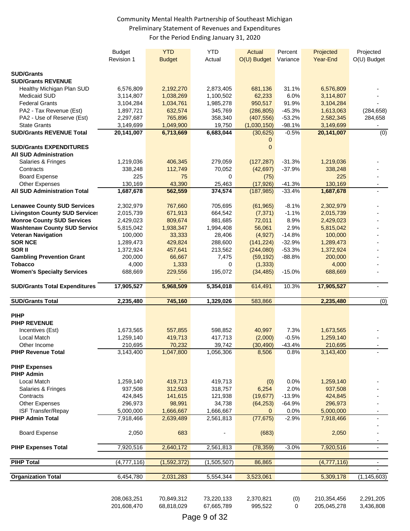# Community Mental Health Partnership of Southeast Michigan Preliminary Statement of Revenues and Expenditures For the Period Ending January 31, 2020

|                                           | <b>Budget</b><br>Revision 1 | <b>YTD</b><br><b>Budget</b> | <b>YTD</b><br>Actual     | Actual<br>$O(U)$ Budget | Percent<br>Variance | Projected<br><b>Year-End</b> | Projected<br>O(U) Budget |
|-------------------------------------------|-----------------------------|-----------------------------|--------------------------|-------------------------|---------------------|------------------------------|--------------------------|
|                                           |                             |                             |                          |                         |                     |                              |                          |
| <b>SUD/Grants</b>                         |                             |                             |                          |                         |                     |                              |                          |
| <b>SUD/Grants REVENUE</b>                 | 6,576,809                   |                             |                          |                         |                     |                              |                          |
| Healthy Michigan Plan SUD<br>Medicaid SUD | 3,114,807                   | 2,192,270<br>1,038,269      | 2,873,405<br>1,100,502   | 681,136<br>62,233       | 31.1%<br>6.0%       | 6,576,809<br>3,114,807       |                          |
| <b>Federal Grants</b>                     |                             | 1,034,761                   | 1,985,278                | 950,517                 | 91.9%               |                              |                          |
| PA2 - Tax Revenue (Est)                   | 3,104,284<br>1,897,721      | 632,574                     | 345,769                  | (286, 805)              | $-45.3%$            | 3,104,284<br>1,613,063       | (284, 658)               |
| PA2 - Use of Reserve (Est)                | 2,297,687                   | 765,896                     | 358,340                  | (407, 556)              | $-53.2%$            |                              |                          |
| <b>State Grants</b>                       | 3,149,699                   | 1,049,900                   | 19,750                   | (1,030,150)             | $-98.1%$            | 2,582,345<br>3,149,699       | 284,658                  |
| <b>SUD/Grants REVENUE Total</b>           | 20,141,007                  | 6,713,669                   | 6,683,044                | (30, 625)               | $-0.5%$             | 20,141,007                   | (0)                      |
|                                           |                             |                             |                          | 0                       |                     |                              |                          |
| <b>SUD/Grants EXPENDITURES</b>            |                             |                             |                          | $\Omega$                |                     |                              |                          |
| <b>All SUD Administration</b>             |                             |                             |                          |                         |                     |                              |                          |
| Salaries & Fringes                        | 1,219,036                   | 406,345                     | 279,059                  | (127, 287)              | $-31.3%$            | 1,219,036                    |                          |
| Contracts                                 | 338,248                     | 112,749                     | 70,052                   | (42, 697)               | $-37.9%$            | 338,248                      |                          |
| <b>Board Expense</b>                      | 225                         | 75                          | 0                        | (75)                    |                     | 225                          |                          |
| Other Expenses                            | 130,169                     | 43,390                      | 25,463                   | (17, 926)               | $-41.3%$            | 130,169                      |                          |
| <b>All SUD Administration Total</b>       | 1,687,678                   | 562,559                     | 374,574                  | (187, 985)              | $-33.4%$            | 1,687,678                    |                          |
|                                           |                             |                             |                          |                         |                     |                              |                          |
| <b>Lenawee County SUD Services</b>        | 2,302,979                   | 767,660                     | 705,695                  | (61, 965)               | $-8.1%$             | 2,302,979                    |                          |
| <b>Livingston County SUD Services</b>     | 2,015,739                   | 671,913                     | 664,542                  | (7, 371)                | $-1.1%$             | 2,015,739                    |                          |
| <b>Monroe County SUD Services</b>         | 2,429,023                   | 809,674                     | 881,685                  | 72,011                  | 8.9%                | 2,429,023                    |                          |
| <b>Washtenaw County SUD Service</b>       | 5,815,042                   | 1,938,347                   | 1,994,408                | 56,061                  | 2.9%                | 5,815,042                    |                          |
| <b>Veteran Navigation</b>                 | 100,000                     | 33,333                      | 28,406                   | (4,927)                 | $-14.8%$            | 100,000                      |                          |
| <b>SOR NCE</b>                            | 1,289,473                   | 429,824                     | 288,600                  | (141, 224)              | $-32.9%$            | 1,289,473                    |                          |
| SOR II                                    | 1,372,924                   | 457,641                     | 213,562                  | (244,080)               | $-53.3%$            | 1,372,924                    |                          |
| <b>Gambling Prevention Grant</b>          | 200,000                     | 66,667                      | 7,475                    | (59, 192)               | $-88.8%$            | 200,000                      |                          |
| <b>Tobacco</b>                            | 4,000                       | 1,333                       | 0                        | (1, 333)                |                     | 4,000                        |                          |
| <b>Women's Specialty Services</b>         | 688,669                     | 229,556                     | 195,072                  | (34, 485)               | $-15.0%$            | 688,669                      |                          |
|                                           |                             |                             |                          |                         |                     |                              |                          |
| <b>SUD/Grants Total Expenditures</b>      | 17,905,527                  | 5,968,509                   | 5,354,018                | 614,491                 | 10.3%               | 17,905,527                   |                          |
|                                           |                             |                             |                          |                         |                     |                              |                          |
| <b>SUD/Grants Total</b>                   | 2,235,480                   | 745,160                     | 1,329,026                | 583,866                 |                     | 2,235,480                    | (0)                      |
| <b>PIHP</b>                               |                             |                             |                          |                         |                     |                              |                          |
| PIHP REVENUE                              |                             |                             |                          |                         |                     |                              |                          |
| Incentives (Est)                          | 1,673,565                   | 557,855                     | 598,852                  | 40,997                  | 7.3%                | 1,673,565                    |                          |
| Local Match                               | 1,259,140                   | 419,713                     | 417,713                  | (2,000)                 | $-0.5%$             | 1,259,140                    |                          |
| Other Income                              | 210,695                     | 70,232                      | 39,742                   | (30, 490)               | $-43.4%$            | 210,695                      |                          |
| <b>PIHP Revenue Total</b>                 | 3,143,400                   | 1,047,800                   | 1,056,306                | 8,506                   | 0.8%                | 3,143,400                    |                          |
|                                           |                             |                             |                          |                         |                     |                              |                          |
| <b>PIHP Expenses</b>                      |                             |                             |                          |                         |                     |                              |                          |
| <b>PIHP Admin</b>                         |                             |                             |                          |                         |                     |                              |                          |
| <b>Local Match</b>                        | 1,259,140                   | 419,713                     | 419,713                  | (0)                     | 0.0%                | 1,259,140                    |                          |
| Salaries & Fringes                        | 937,508                     | 312,503                     | 318,757                  | 6,254                   | 2.0%                | 937,508                      |                          |
| Contracts                                 | 424,845                     | 141,615                     | 121,938                  | (19, 677)               | $-13.9%$            | 424,845                      |                          |
| Other Expenses                            | 296,973                     | 98,991                      | 34,738                   | (64, 253)               | $-64.9%$            | 296,973                      |                          |
| ISF Transfer/Repay                        | 5,000,000                   | 1,666,667                   | 1,666,667                | $\mathbf{0}$            | 0.0%                | 5,000,000                    |                          |
| <b>PIHP Admin Total</b>                   | 7,918,466                   | 2,639,489                   | 2,561,813                | (77, 675)               | $-2.9%$             | 7,918,466                    |                          |
| <b>Board Expense</b>                      | 2,050                       | 683                         |                          | (683)                   |                     | 2,050                        |                          |
|                                           |                             |                             |                          |                         |                     |                              |                          |
| <b>PIHP Expenses Total</b>                | 7,920,516                   | 2,640,172                   | 2,561,813                | (78, 359)               | $-3.0%$             | 7,920,516                    |                          |
| <b>PIHP Total</b>                         | (4,777,116)                 | (1,592,372)                 | (1,505,507)              | 86,865                  |                     | (4,777,116)                  | ٠                        |
|                                           |                             |                             |                          |                         |                     |                              |                          |
| <b>Organization Total</b>                 | 6,454,780                   | 2,031,283                   | 5,554,344                | 3,523,061               |                     | 5,309,178                    | (1, 145, 603)            |
|                                           |                             |                             |                          |                         |                     |                              |                          |
|                                           | 208,063,251<br>201,608,470  | 70,849,312<br>68,818,029    | 73,220,133<br>67,665,789 | 2,370,821<br>995,522    | (0)<br>0            | 210,354,456<br>205,045,278   | 2,291,205<br>3,436,808   |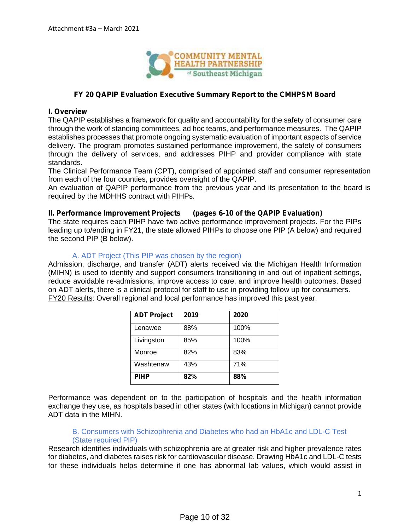

## **FY 20 QAPIP Evaluation Executive Summary Report to the CMHPSM Board**

### **I. Overview**

The QAPIP establishes a framework for quality and accountability for the safety of consumer care through the work of standing committees, ad hoc teams, and performance measures. The QAPIP establishes processes that promote ongoing systematic evaluation of important aspects of service delivery. The program promotes sustained performance improvement, the safety of consumers through the delivery of services, and addresses PIHP and provider compliance with state standards.

The Clinical Performance Team (CPT), comprised of appointed staff and consumer representation from each of the four counties, provides oversight of the QAPIP.

An evaluation of QAPIP performance from the previous year and its presentation to the board is required by the MDHHS contract with PIHPs.

### **II. Performance Improvement Projects (pages 6-10 of the QAPIP Evaluation)**

The state requires each PIHP have two active performance improvement projects. For the PIPs leading up to/ending in FY21, the state allowed PIHPs to choose one PIP (A below) and required the second PIP (B below).

## A. ADT Project (This PIP was chosen by the region)

Admission, discharge, and transfer (ADT) alerts received via the Michigan Health Information (MIHN) is used to identify and support consumers transitioning in and out of inpatient settings, reduce avoidable re-admissions, improve access to care, and improve health outcomes. Based on ADT alerts, there is a clinical protocol for staff to use in providing follow up for consumers. FY20 Results: Overall regional and local performance has improved this past year.

| <b>ADT Project</b> | 2019 | 2020 |
|--------------------|------|------|
| Lenawee            | 88%  | 100% |
| Livingston         | 85%  | 100% |
| Monroe             | 82%  | 83%  |
| Washtenaw          | 43%  | 71%  |
| <b>PIHP</b>        | 82%  | 88%  |

Performance was dependent on to the participation of hospitals and the health information exchange they use, as hospitals based in other states (with locations in Michigan) cannot provide ADT data in the MIHN.

## B. Consumers with Schizophrenia and Diabetes who had an HbA1c and LDL-C Test (State required PIP)

Research identifies individuals with schizophrenia are at greater risk and higher prevalence rates for diabetes, and diabetes raises risk for cardiovascular disease. Drawing HbA1c and LDL-C tests for these individuals helps determine if one has abnormal lab values, which would assist in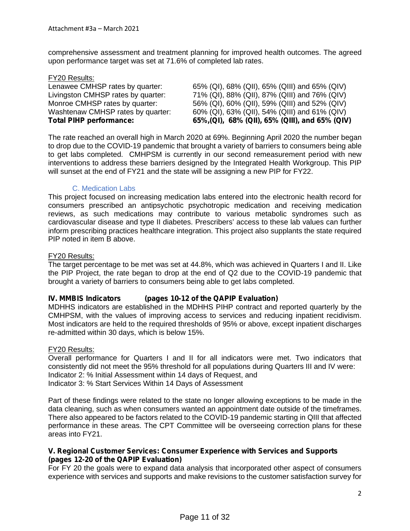comprehensive assessment and treatment planning for improved health outcomes. The agreed upon performance target was set at 71.6% of completed lab rates.

| <b>Total PIHP performance:</b>     | 65%, (QI), 68% (QII), 65% (QIII), and 65% (QIV) |
|------------------------------------|-------------------------------------------------|
| Washtenaw CMHSP rates by quarter:  | 60% (QI), 63% (QII), 54% (QIII) and 61% (QIV)   |
| Monroe CMHSP rates by quarter:     | 56% (QI), 60% (QII), 59% (QIII) and 52% (QIV)   |
| Livingston CMHSP rates by quarter: | 71% (QI), 88% (QII), 87% (QIII) and 76% (QIV)   |
| Lenawee CMHSP rates by quarter:    | 65% (QI), 68% (QII), 65% (QIII) and 65% (QIV)   |
| <b>FY20 Results:</b>               |                                                 |

The rate reached an overall high in March 2020 at 69%. Beginning April 2020 the number began to drop due to the COVID-19 pandemic that brought a variety of barriers to consumers being able to get labs completed. CMHPSM is currently in our second remeasurement period with new interventions to address these barriers designed by the Integrated Health Workgroup. This PIP will sunset at the end of FY21 and the state will be assigning a new PIP for FY22.

### C. Medication Labs

This project focused on increasing medication labs entered into the electronic health record for consumers prescribed an antipsychotic psychotropic medication and receiving medication reviews, as such medications may contribute to various metabolic syndromes such as cardiovascular disease and type II diabetes. Prescribers' access to these lab values can further inform prescribing practices healthcare integration. This project also supplants the state required PIP noted in item B above.

### FY20 Results:

The target percentage to be met was set at 44.8%, which was achieved in Quarters I and II. Like the PIP Project, the rate began to drop at the end of Q2 due to the COVID-19 pandemic that brought a variety of barriers to consumers being able to get labs completed.

## **IV. MMBIS Indicators (pages 10-12 of the QAPIP Evaluation)**

MDHHS indicators are established in the MDHHS PIHP contract and reported quarterly by the CMHPSM, with the values of improving access to services and reducing inpatient recidivism. Most indicators are held to the required thresholds of 95% or above, except inpatient discharges re-admitted within 30 days, which is below 15%.

### FY20 Results:

Overall performance for Quarters I and II for all indicators were met. Two indicators that consistently did not meet the 95% threshold for all populations during Quarters III and IV were: Indicator 2: % Initial Assessment within 14 days of Request, and Indicator 3: % Start Services Within 14 Days of Assessment

Part of these findings were related to the state no longer allowing exceptions to be made in the data cleaning, such as when consumers wanted an appointment date outside of the timeframes. There also appeared to be factors related to the COVID-19 pandemic starting in QIII that affected performance in these areas. The CPT Committee will be overseeing correction plans for these areas into FY21.

### **V. Regional Customer Services: Consumer Experience with Services and Supports (pages 12-20 of the QAPIP Evaluation)**

For FY 20 the goals were to expand data analysis that incorporated other aspect of consumers experience with services and supports and make revisions to the customer satisfaction survey for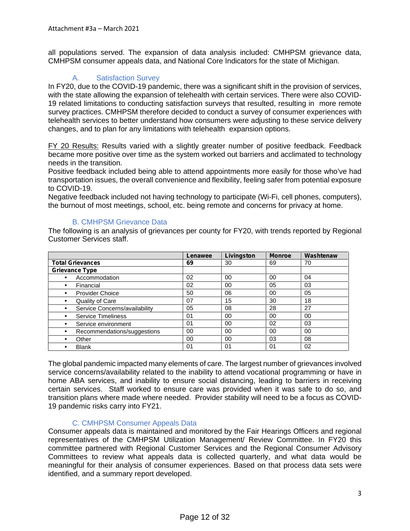all populations served. The expansion of data analysis included: CMHPSM grievance data, CMHPSM consumer appeals data, and National Core Indicators for the state of Michigan.

# A. Satisfaction Survey

In FY20, due to the COVID-19 pandemic, there was a significant shift in the provision of services, with the state allowing the expansion of telehealth with certain services. There were also COVID- 19 related limitations to conducting satisfaction surveys that resulted, resulting in more remote survey practices. CMHPSM therefore decided to conduct a survey of consumer experiences with telehealth services to better understand how consumers were adjusting to these service delivery changes, and to plan for any limitations with telehealth expansion options.

FY 20 Results: Results varied with a slightly greater number of positive feedback. Feedback became more positive over time as the system worked out barriers and acclimated to technology needs in the transition.

Positive feedback included being able to attend appointments more easily for those who've had transportation issues, the overall convenience and flexibility, feeling safer from potential exposure to COVID-19.

Negative feedback included not having technology to participate (Wi-Fi, cell phones, computers), the burnout of most meetings, school, etc. being remote and concerns for privacy at home.

## B. CMHPSM Grievance Data

The following is an analysis of grievances per county for FY20, with trends reported by Regional Customer Services staff.

|                               | Lenawee        | Livingston | <b>Monroe</b> | Washtenaw |
|-------------------------------|----------------|------------|---------------|-----------|
| <b>Total Grievances</b>       | 69             | 30         | 69            | 70        |
| <b>Grievance Type</b>         |                |            |               |           |
| Accommodation                 | 02             | 00         | 00            | 04        |
| Financial                     | 02             | 00         | 05            | 03        |
| <b>Provider Choice</b>        | 50             | 06         | 00            | 05        |
| Quality of Care               | 07             | 15         | 30            | 18        |
| Service Concerns/availability | 05             | 08         | 28            | 27        |
| <b>Service Timeliness</b>     | 0 <sub>1</sub> | 00         | 00            | 00        |
| Service environment           | 01             | 00         | 02            | 03        |
| Recommendations/suggestions   | 00             | 00         | 00            | 00        |
| Other                         | 00             | 00         | 03            | 08        |
| <b>Blank</b>                  | 01             | 01         | 01            | 02        |

The global pandemic impacted many elements of care. The largest number of grievances involved service concerns/availability related to the inability to attend vocational programming or have in home ABA services, and inability to ensure social distancing, leading to barriers in receiving certain services. Staff worked to ensure care was provided when it was safe to do so, and transition plans where made where needed. Provider stability will need to be a focus as COVID- 19 pandemic risks carry into FY21.

## C. CMHPSM Consumer Appeals Data

Consumer appeals data is maintained and monitored by the Fair Hearings Officers and regional representatives of the CMHPSM Utilization Management/ Review Committee. In FY20 this committee partnered with Regional Customer Services and the Regional Consumer Advisory Committees to review what appeals data is collected quarterly, and what data would be meaningful for their analysis of consumer experiences. Based on that process data sets were identified, and a summary report developed.